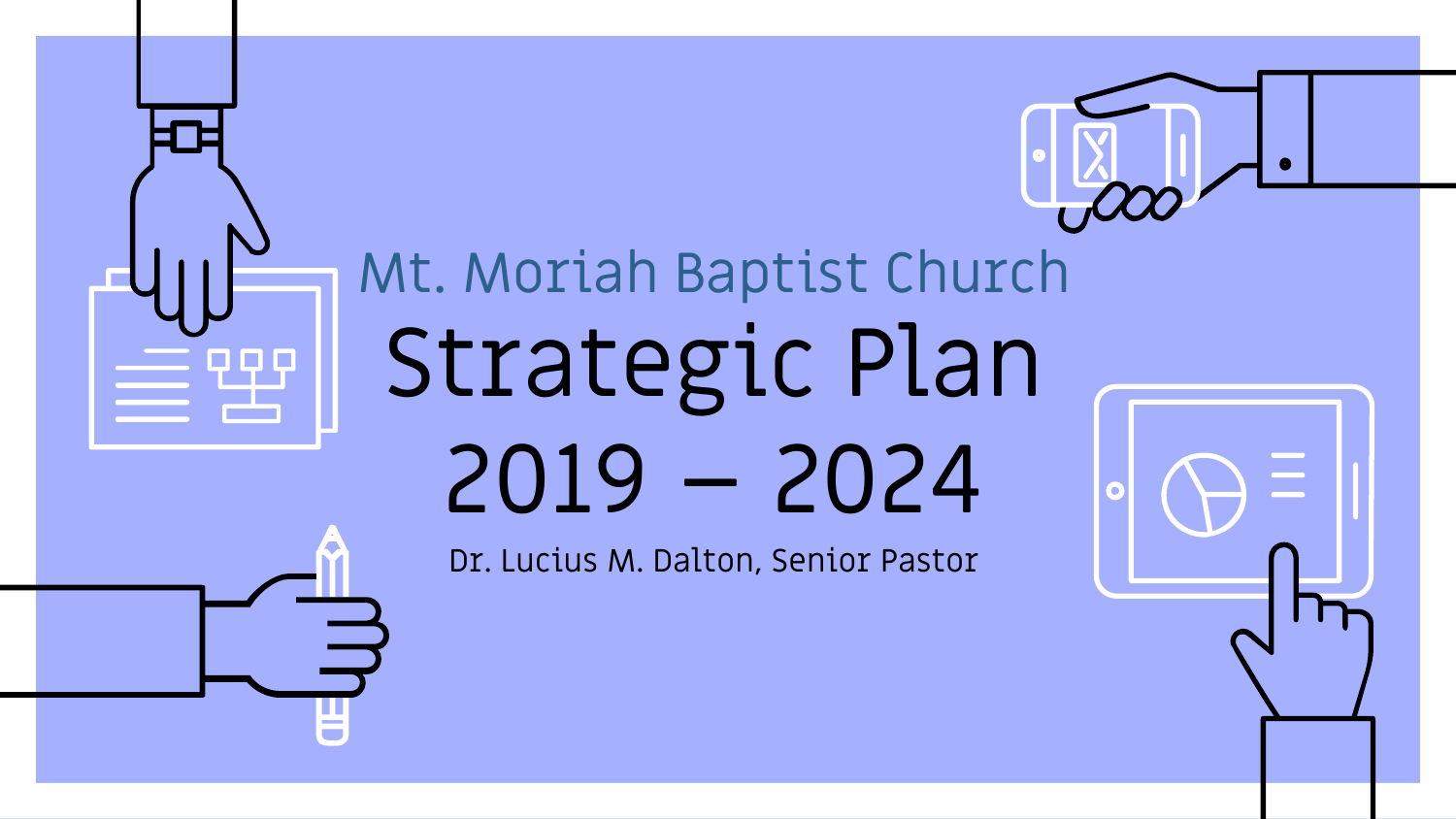## Mt. Moriah Baptist Church Strategic Plan 2019 – 2024

Dr. Lucius M. Dalton, Senior Pastor

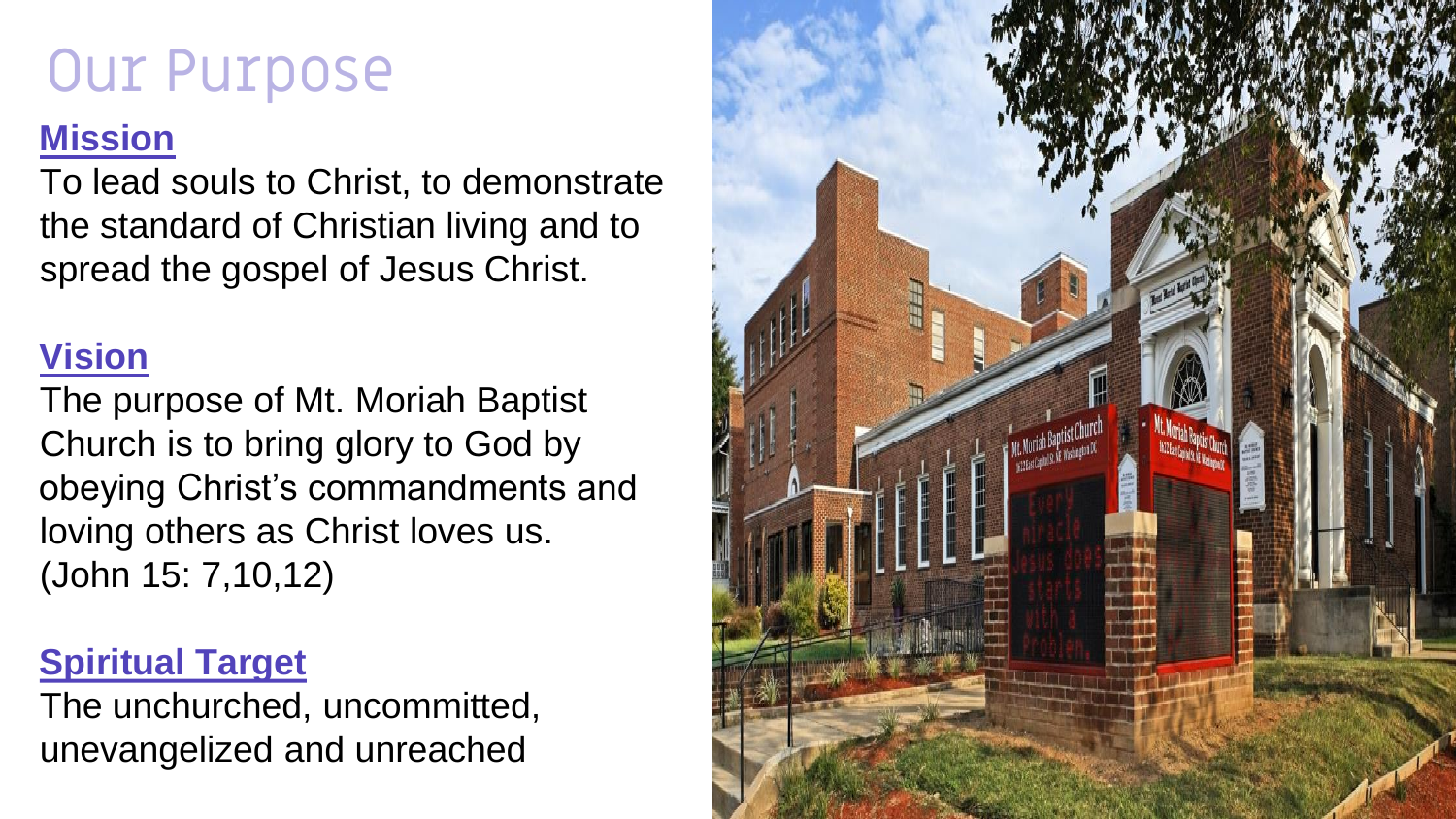### Our Purpose

#### **Mission**

To lead souls to Christ, to demonstrate the standard of Christian living and to spread the gospel of Jesus Christ.

#### **Vision**

The purpose of Mt. Moriah Baptist Church is to bring glory to God by obeying Christ's commandments and loving others as Christ loves us. (John 15: 7,10,12)

#### **Spiritual Target**

The unchurched, uncommitted, unevangelized and unreached

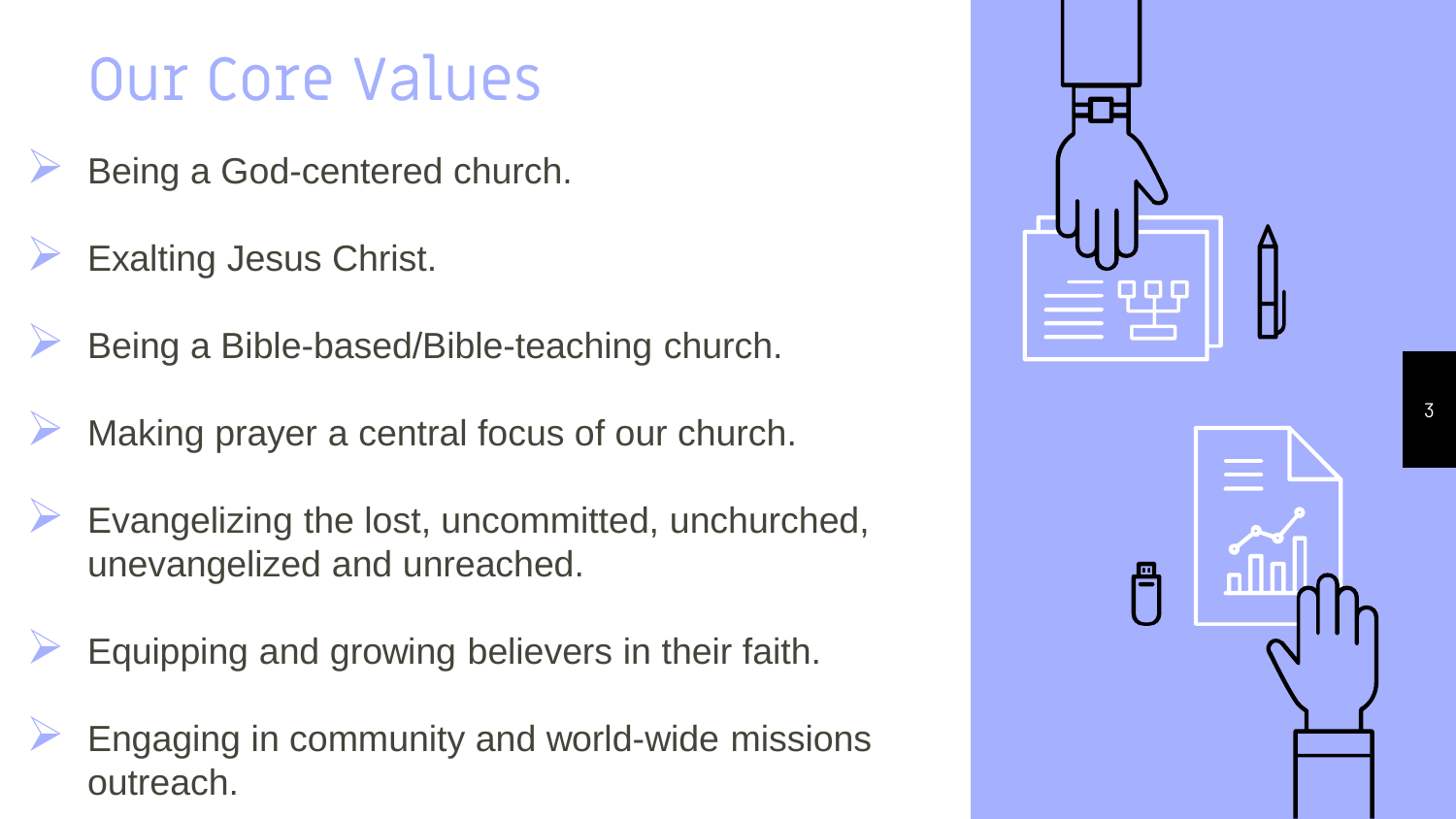## Our Core Values

- Being a God-centered church.
- Exalting Jesus Christ.
- Being a Bible-based/Bible-teaching church.
- Making prayer a central focus of our church.
- Evangelizing the lost, uncommitted, unchurched, unevangelized and unreached.
- Equipping and growing believers in their faith.
- Engaging in community and world-wide missions outreach.



3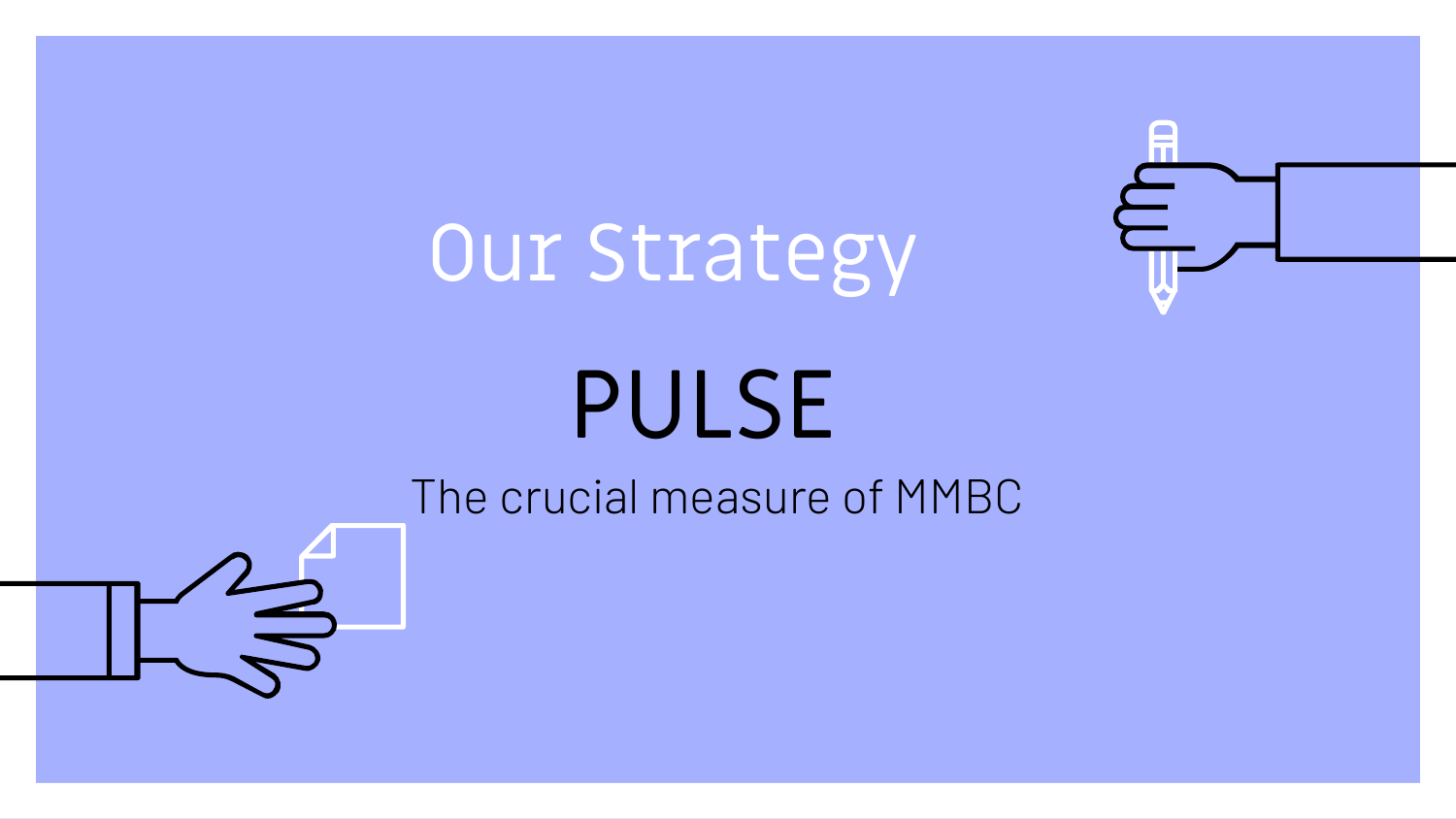## Our Strategy

# PULSE

The crucial measure of MMBC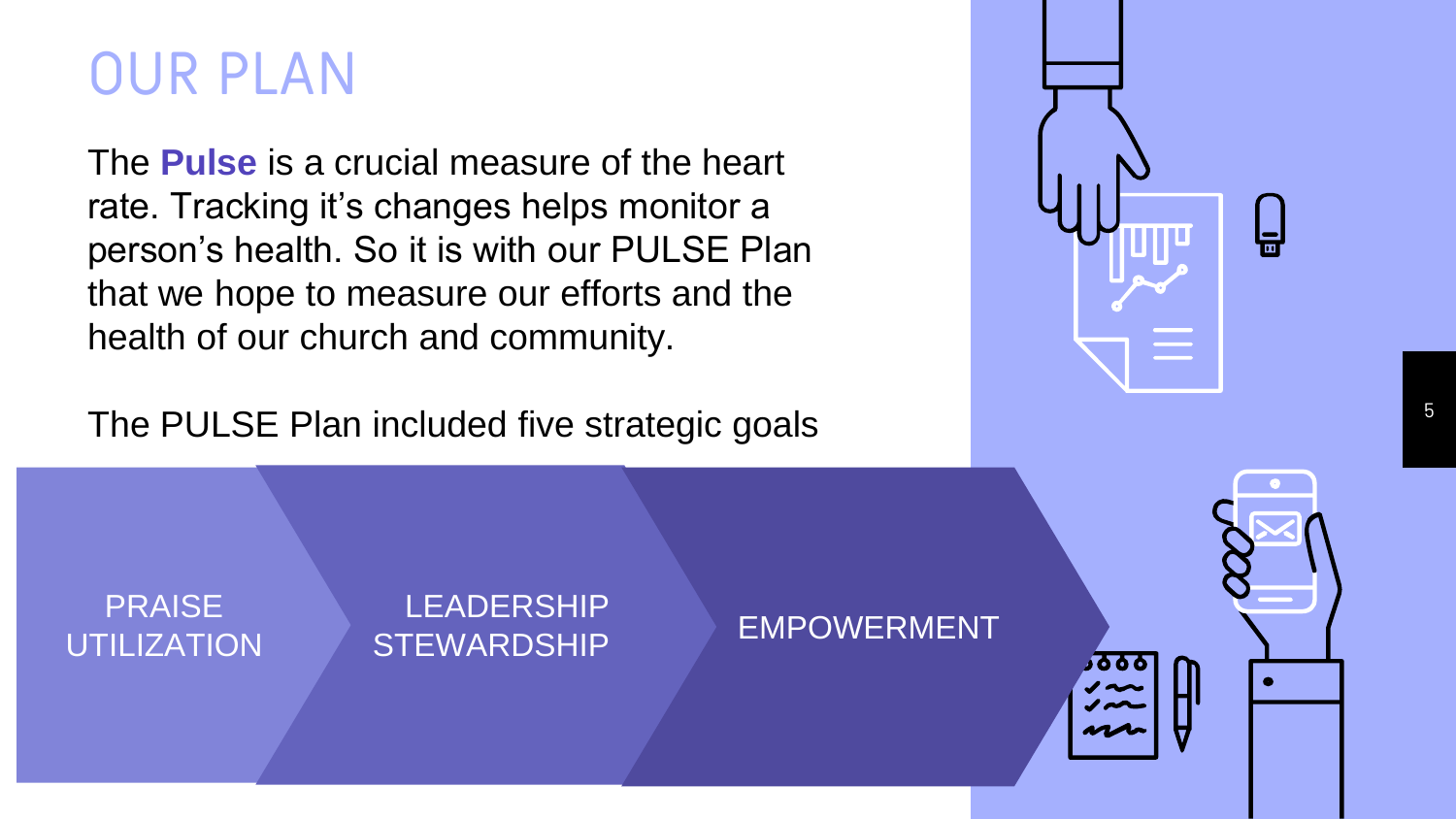## OUR PLAN

The **Pulse** is a crucial measure of the heart rate. Tracking it's changes helps monitor a person's health. So it is with our PULSE Plan that we hope to measure our efforts and the health of our church and community.

The PULSE Plan included five strategic goals



PRAISE UTILIZATION

#### LEADERSHIP STEWARDSHIP EMPOWERMENT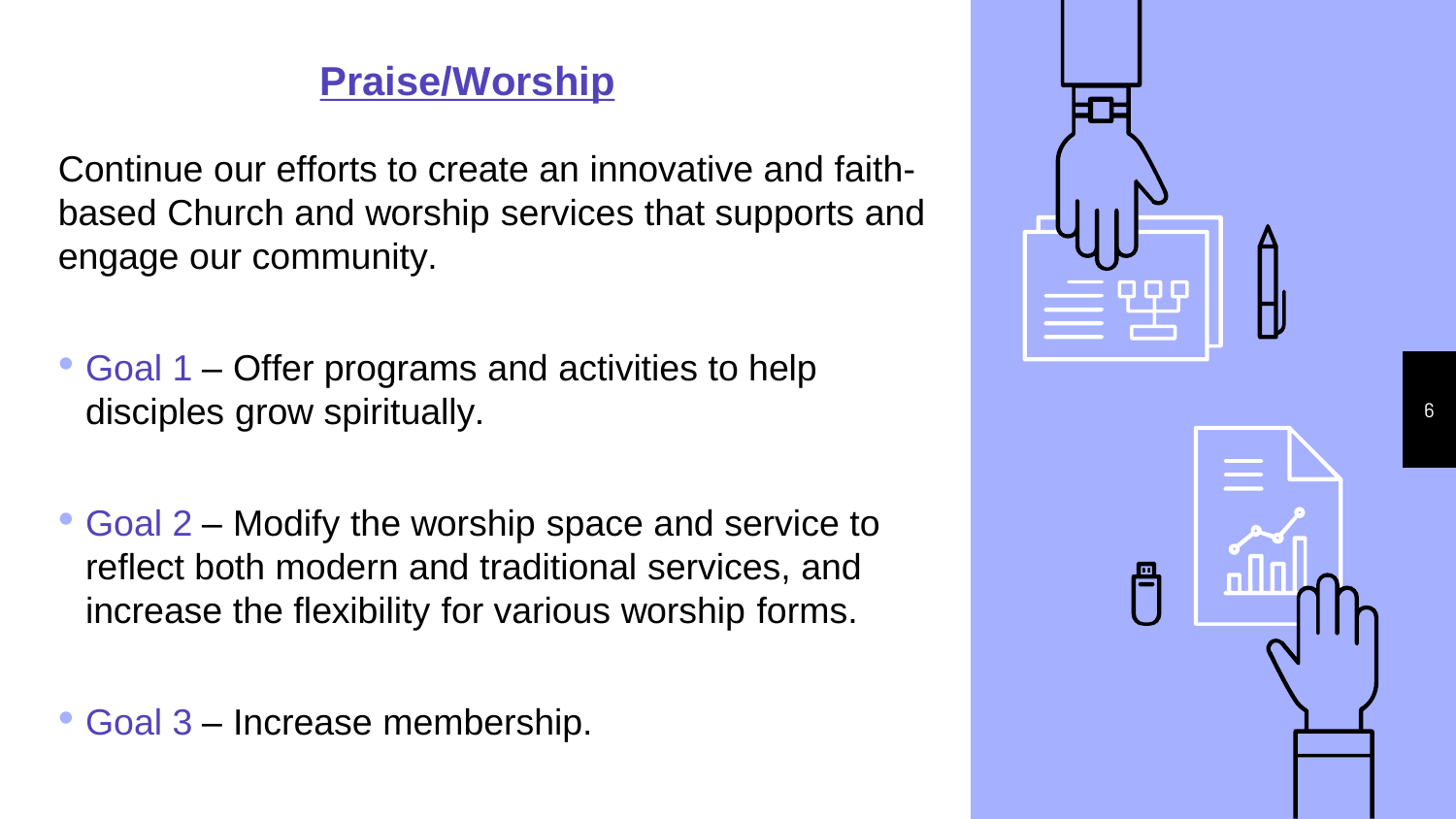#### **Praise/Worship**

Continue our efforts to create an innovative and faithbased Church and worship services that supports and engage our community.

- Goal 1 Offer programs and activities to help disciples grow spiritually.
- Goal 2 Modify the worship space and service to reflect both modern and traditional services, and increase the flexibility for various worship forms.

• Goal 3 – Increase membership.



6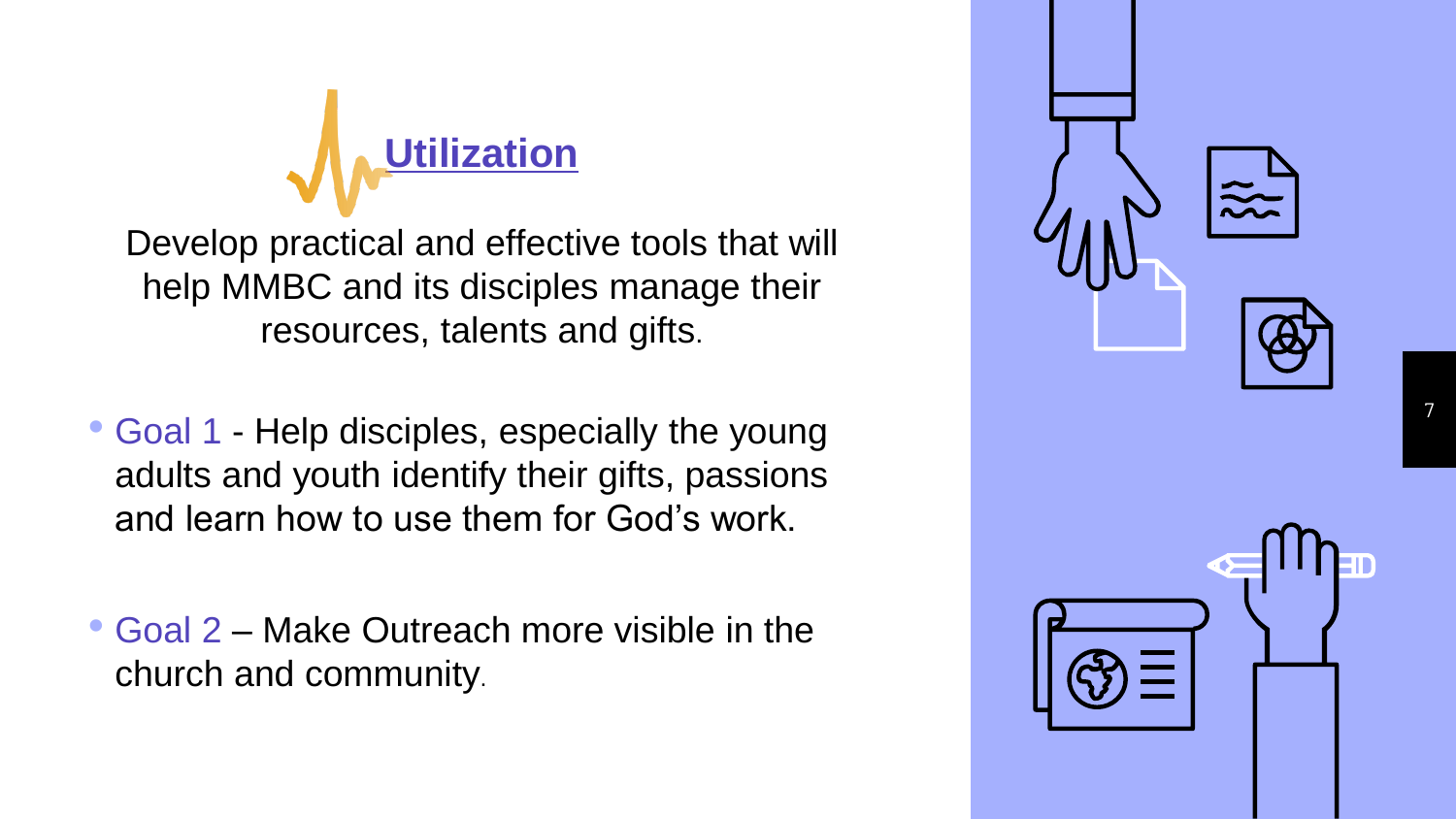

Develop practical and effective tools that will help MMBC and its disciples manage their resources, talents and gifts.

• Goal 1 - Help disciples, especially the young adults and youth identify their gifts, passions and learn how to use them for God's work.

• Goal 2 – Make Outreach more visible in the church and community .

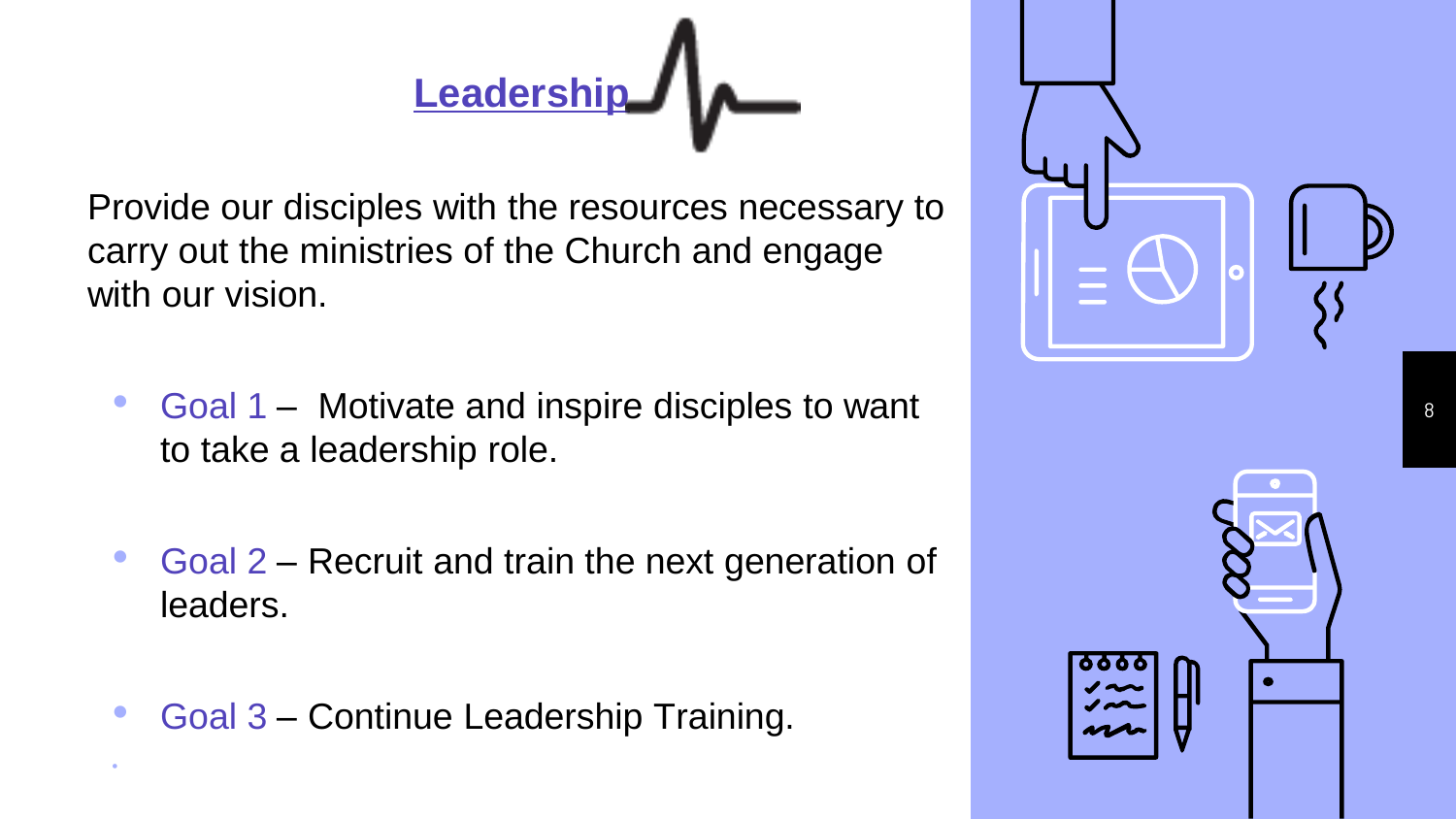## **Leadership**

Provide our disciples with the resources necessary to carry out the ministries of the Church and engage with our vision.

- Goal 1 Motivate and inspire disciples to want to take a leadership role.
- Goal 2 Recruit and train the next generation of leaders.
- Goal 3 Continue Leadership Training.

•



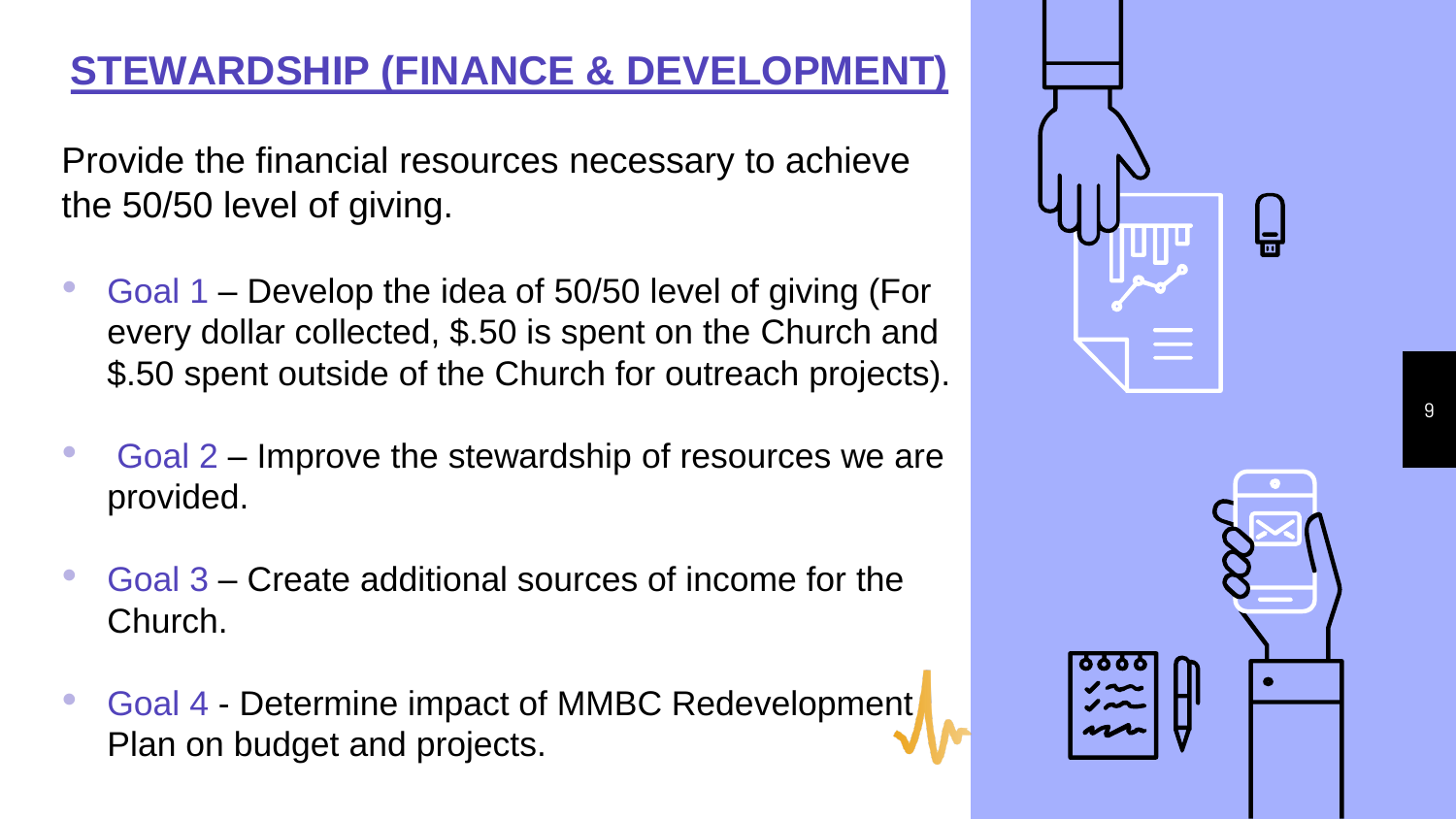#### **STEWARDSHIP (FINANCE & DEVELOPMENT)**

Provide the financial resources necessary to achieve the 50/50 level of giving.

- Goal 1 Develop the idea of 50/50 level of giving (For every dollar collected, \$.50 is spent on the Church and \$.50 spent outside of the Church for outreach projects).
- Goal 2 Improve the stewardship of resources we are provided.
- Goal 3 Create additional sources of income for the Church.
- Goal 4 Determine impact of MMBC Redevelopment Plan on budget and projects.



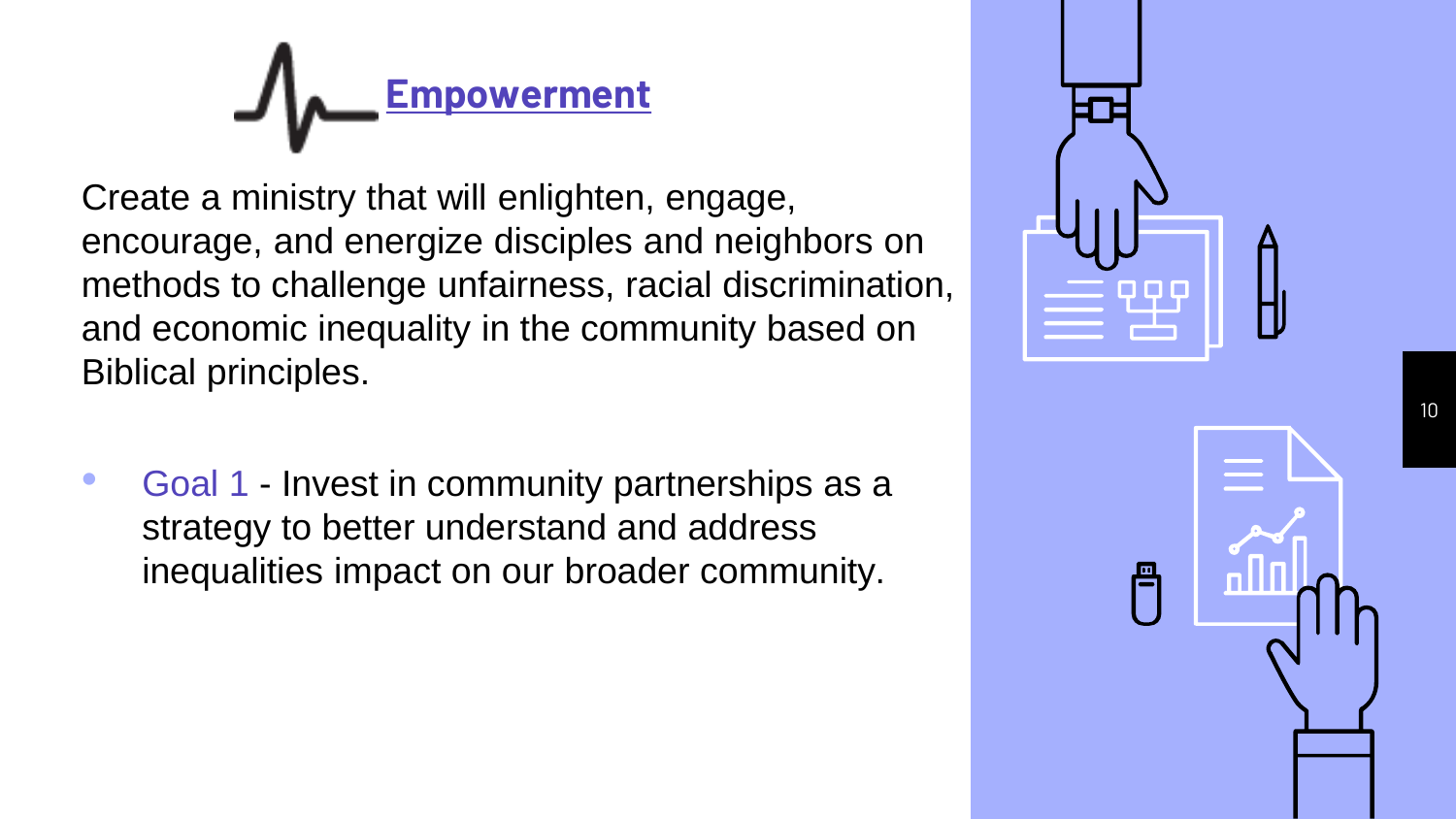# **Empowerment**

Create a ministry that will enlighten, engage, encourage, and energize disciples and neighbors on methods to challenge unfairness, racial discrimination, and economic inequality in the community based on Biblical principles.

• Goal 1 - Invest in community partnerships as a strategy to better understand and address inequalities impact on our broader community.